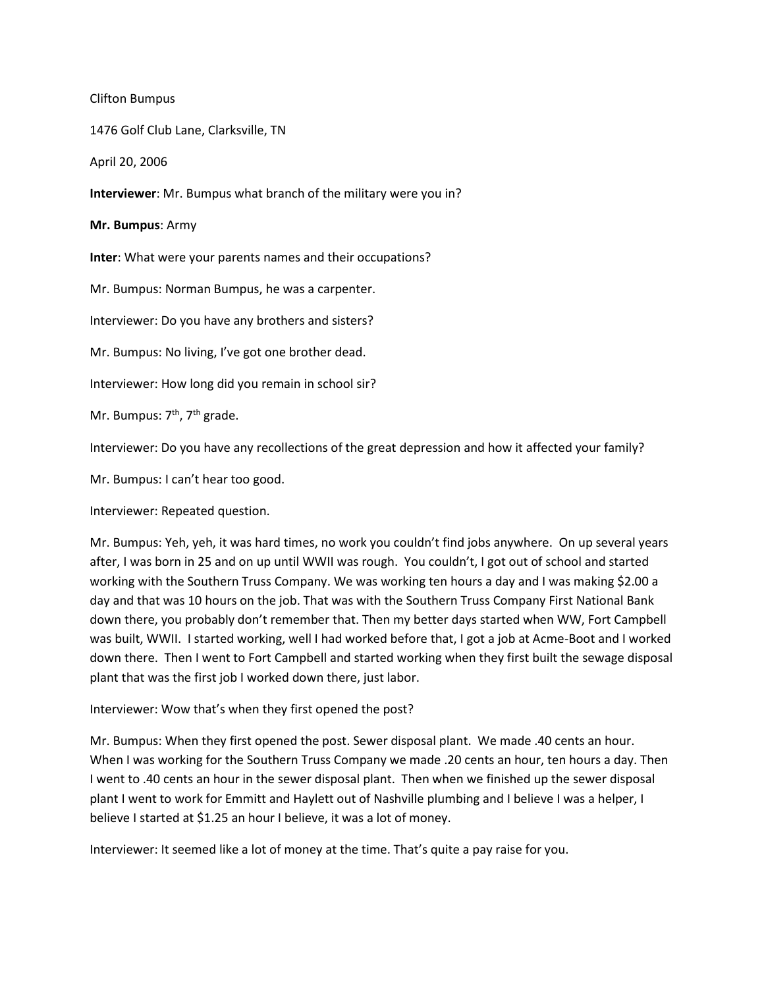Clifton Bumpus

1476 Golf Club Lane, Clarksville, TN

April 20, 2006

**Interviewer**: Mr. Bumpus what branch of the military were you in?

**Mr. Bumpus**: Army

**Inter**: What were your parents names and their occupations?

Mr. Bumpus: Norman Bumpus, he was a carpenter.

Interviewer: Do you have any brothers and sisters?

Mr. Bumpus: No living, I've got one brother dead.

Interviewer: How long did you remain in school sir?

Mr. Bumpus: 7<sup>th</sup>, 7<sup>th</sup> grade.

Interviewer: Do you have any recollections of the great depression and how it affected your family?

Mr. Bumpus: I can't hear too good.

Interviewer: Repeated question.

Mr. Bumpus: Yeh, yeh, it was hard times, no work you couldn't find jobs anywhere. On up several years after, I was born in 25 and on up until WWII was rough. You couldn't, I got out of school and started working with the Southern Truss Company. We was working ten hours a day and I was making \$2.00 a day and that was 10 hours on the job. That was with the Southern Truss Company First National Bank down there, you probably don't remember that. Then my better days started when WW, Fort Campbell was built, WWII. I started working, well I had worked before that, I got a job at Acme-Boot and I worked down there. Then I went to Fort Campbell and started working when they first built the sewage disposal plant that was the first job I worked down there, just labor.

Interviewer: Wow that's when they first opened the post?

Mr. Bumpus: When they first opened the post. Sewer disposal plant. We made .40 cents an hour. When I was working for the Southern Truss Company we made .20 cents an hour, ten hours a day. Then I went to .40 cents an hour in the sewer disposal plant. Then when we finished up the sewer disposal plant I went to work for Emmitt and Haylett out of Nashville plumbing and I believe I was a helper, I believe I started at \$1.25 an hour I believe, it was a lot of money.

Interviewer: It seemed like a lot of money at the time. That's quite a pay raise for you.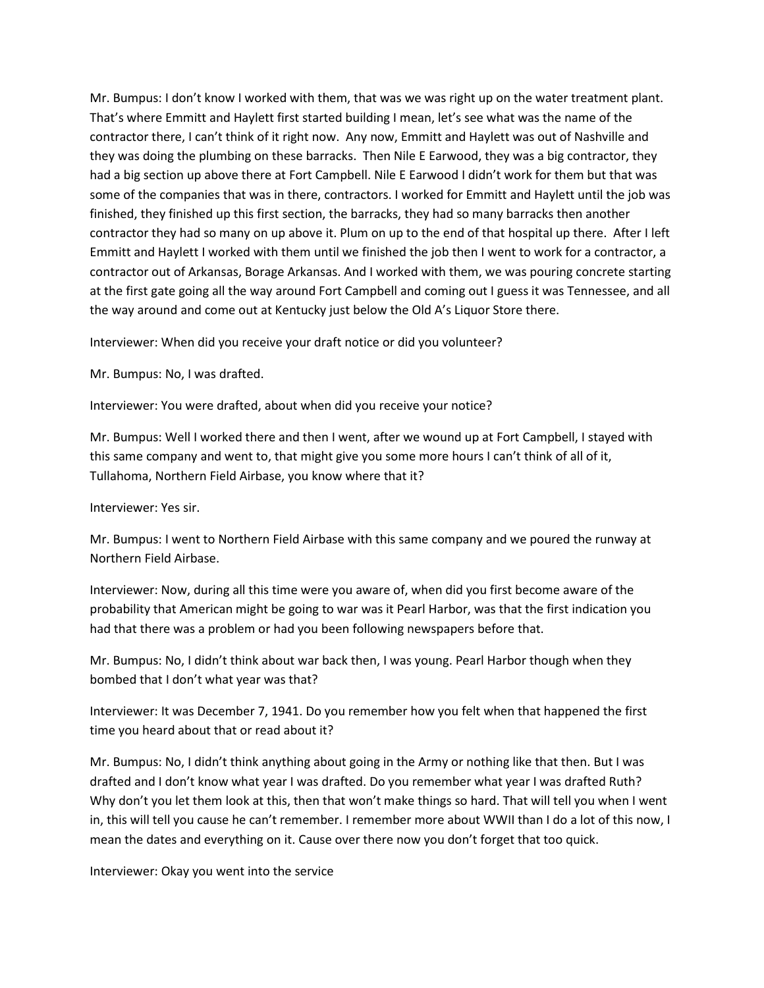Mr. Bumpus: I don't know I worked with them, that was we was right up on the water treatment plant. That's where Emmitt and Haylett first started building I mean, let's see what was the name of the contractor there, I can't think of it right now. Any now, Emmitt and Haylett was out of Nashville and they was doing the plumbing on these barracks. Then Nile E Earwood, they was a big contractor, they had a big section up above there at Fort Campbell. Nile E Earwood I didn't work for them but that was some of the companies that was in there, contractors. I worked for Emmitt and Haylett until the job was finished, they finished up this first section, the barracks, they had so many barracks then another contractor they had so many on up above it. Plum on up to the end of that hospital up there. After I left Emmitt and Haylett I worked with them until we finished the job then I went to work for a contractor, a contractor out of Arkansas, Borage Arkansas. And I worked with them, we was pouring concrete starting at the first gate going all the way around Fort Campbell and coming out I guess it was Tennessee, and all the way around and come out at Kentucky just below the Old A's Liquor Store there.

Interviewer: When did you receive your draft notice or did you volunteer?

Mr. Bumpus: No, I was drafted.

Interviewer: You were drafted, about when did you receive your notice?

Mr. Bumpus: Well I worked there and then I went, after we wound up at Fort Campbell, I stayed with this same company and went to, that might give you some more hours I can't think of all of it, Tullahoma, Northern Field Airbase, you know where that it?

Interviewer: Yes sir.

Mr. Bumpus: I went to Northern Field Airbase with this same company and we poured the runway at Northern Field Airbase.

Interviewer: Now, during all this time were you aware of, when did you first become aware of the probability that American might be going to war was it Pearl Harbor, was that the first indication you had that there was a problem or had you been following newspapers before that.

Mr. Bumpus: No, I didn't think about war back then, I was young. Pearl Harbor though when they bombed that I don't what year was that?

Interviewer: It was December 7, 1941. Do you remember how you felt when that happened the first time you heard about that or read about it?

Mr. Bumpus: No, I didn't think anything about going in the Army or nothing like that then. But I was drafted and I don't know what year I was drafted. Do you remember what year I was drafted Ruth? Why don't you let them look at this, then that won't make things so hard. That will tell you when I went in, this will tell you cause he can't remember. I remember more about WWII than I do a lot of this now, I mean the dates and everything on it. Cause over there now you don't forget that too quick.

Interviewer: Okay you went into the service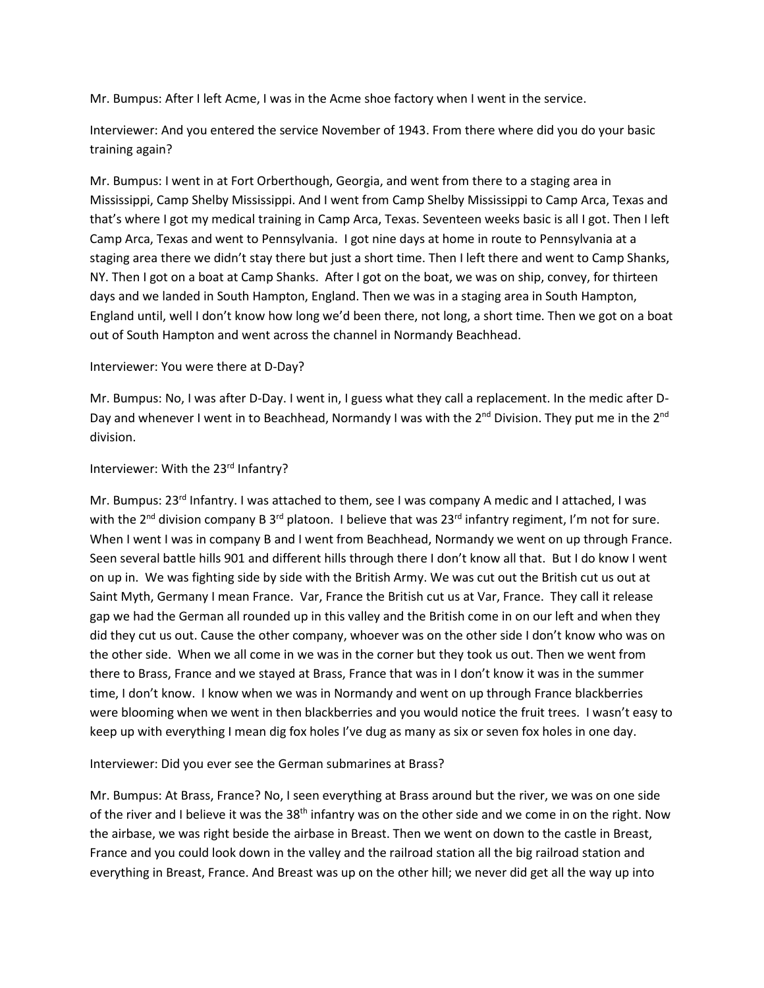Mr. Bumpus: After I left Acme, I was in the Acme shoe factory when I went in the service.

Interviewer: And you entered the service November of 1943. From there where did you do your basic training again?

Mr. Bumpus: I went in at Fort Orberthough, Georgia, and went from there to a staging area in Mississippi, Camp Shelby Mississippi. And I went from Camp Shelby Mississippi to Camp Arca, Texas and that's where I got my medical training in Camp Arca, Texas. Seventeen weeks basic is all I got. Then I left Camp Arca, Texas and went to Pennsylvania. I got nine days at home in route to Pennsylvania at a staging area there we didn't stay there but just a short time. Then I left there and went to Camp Shanks, NY. Then I got on a boat at Camp Shanks. After I got on the boat, we was on ship, convey, for thirteen days and we landed in South Hampton, England. Then we was in a staging area in South Hampton, England until, well I don't know how long we'd been there, not long, a short time. Then we got on a boat out of South Hampton and went across the channel in Normandy Beachhead.

## Interviewer: You were there at D-Day?

Mr. Bumpus: No, I was after D-Day. I went in, I guess what they call a replacement. In the medic after D-Day and whenever I went in to Beachhead, Normandy I was with the  $2^{nd}$  Division. They put me in the  $2^{nd}$ division.

## Interviewer: With the 23rd Infantry?

Mr. Bumpus: 23<sup>rd</sup> Infantry. I was attached to them, see I was company A medic and I attached, I was with the 2<sup>nd</sup> division company B 3<sup>rd</sup> platoon. I believe that was 23<sup>rd</sup> infantry regiment, I'm not for sure. When I went I was in company B and I went from Beachhead, Normandy we went on up through France. Seen several battle hills 901 and different hills through there I don't know all that. But I do know I went on up in. We was fighting side by side with the British Army. We was cut out the British cut us out at Saint Myth, Germany I mean France. Var, France the British cut us at Var, France. They call it release gap we had the German all rounded up in this valley and the British come in on our left and when they did they cut us out. Cause the other company, whoever was on the other side I don't know who was on the other side. When we all come in we was in the corner but they took us out. Then we went from there to Brass, France and we stayed at Brass, France that was in I don't know it was in the summer time, I don't know. I know when we was in Normandy and went on up through France blackberries were blooming when we went in then blackberries and you would notice the fruit trees. I wasn't easy to keep up with everything I mean dig fox holes I've dug as many as six or seven fox holes in one day.

## Interviewer: Did you ever see the German submarines at Brass?

Mr. Bumpus: At Brass, France? No, I seen everything at Brass around but the river, we was on one side of the river and I believe it was the 38<sup>th</sup> infantry was on the other side and we come in on the right. Now the airbase, we was right beside the airbase in Breast. Then we went on down to the castle in Breast, France and you could look down in the valley and the railroad station all the big railroad station and everything in Breast, France. And Breast was up on the other hill; we never did get all the way up into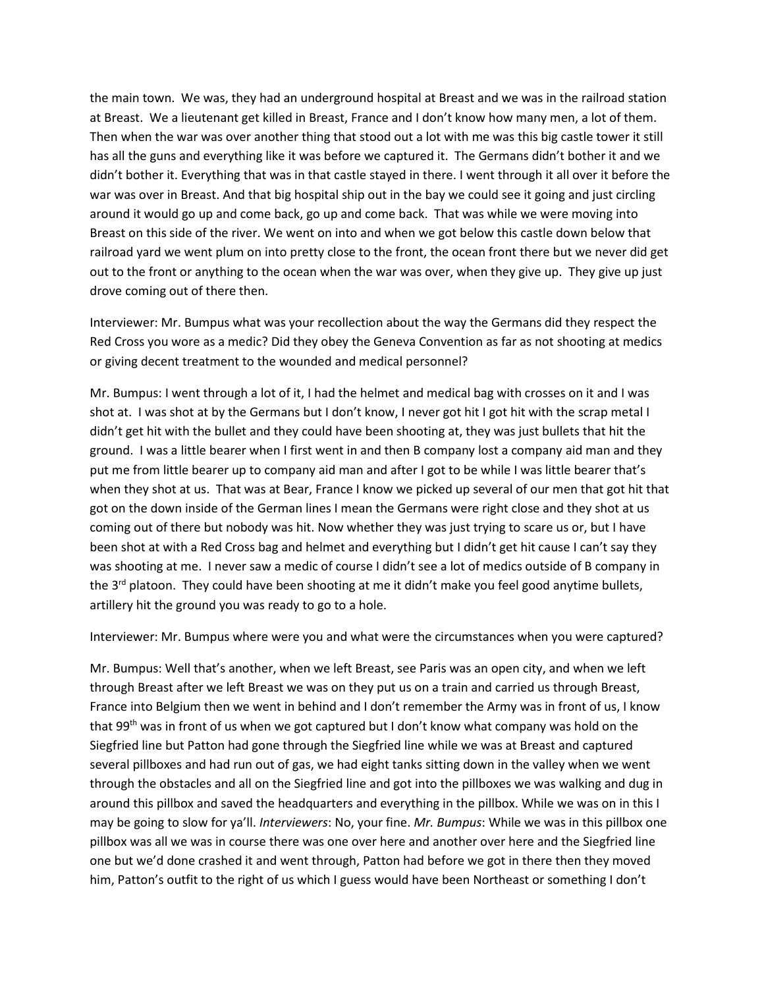the main town. We was, they had an underground hospital at Breast and we was in the railroad station at Breast. We a lieutenant get killed in Breast, France and I don't know how many men, a lot of them. Then when the war was over another thing that stood out a lot with me was this big castle tower it still has all the guns and everything like it was before we captured it. The Germans didn't bother it and we didn't bother it. Everything that was in that castle stayed in there. I went through it all over it before the war was over in Breast. And that big hospital ship out in the bay we could see it going and just circling around it would go up and come back, go up and come back. That was while we were moving into Breast on this side of the river. We went on into and when we got below this castle down below that railroad yard we went plum on into pretty close to the front, the ocean front there but we never did get out to the front or anything to the ocean when the war was over, when they give up. They give up just drove coming out of there then.

Interviewer: Mr. Bumpus what was your recollection about the way the Germans did they respect the Red Cross you wore as a medic? Did they obey the Geneva Convention as far as not shooting at medics or giving decent treatment to the wounded and medical personnel?

Mr. Bumpus: I went through a lot of it, I had the helmet and medical bag with crosses on it and I was shot at. I was shot at by the Germans but I don't know, I never got hit I got hit with the scrap metal I didn't get hit with the bullet and they could have been shooting at, they was just bullets that hit the ground. I was a little bearer when I first went in and then B company lost a company aid man and they put me from little bearer up to company aid man and after I got to be while I was little bearer that's when they shot at us. That was at Bear, France I know we picked up several of our men that got hit that got on the down inside of the German lines I mean the Germans were right close and they shot at us coming out of there but nobody was hit. Now whether they was just trying to scare us or, but I have been shot at with a Red Cross bag and helmet and everything but I didn't get hit cause I can't say they was shooting at me. I never saw a medic of course I didn't see a lot of medics outside of B company in the  $3<sup>rd</sup>$  platoon. They could have been shooting at me it didn't make you feel good anytime bullets, artillery hit the ground you was ready to go to a hole.

Interviewer: Mr. Bumpus where were you and what were the circumstances when you were captured?

Mr. Bumpus: Well that's another, when we left Breast, see Paris was an open city, and when we left through Breast after we left Breast we was on they put us on a train and carried us through Breast, France into Belgium then we went in behind and I don't remember the Army was in front of us, I know that 99<sup>th</sup> was in front of us when we got captured but I don't know what company was hold on the Siegfried line but Patton had gone through the Siegfried line while we was at Breast and captured several pillboxes and had run out of gas, we had eight tanks sitting down in the valley when we went through the obstacles and all on the Siegfried line and got into the pillboxes we was walking and dug in around this pillbox and saved the headquarters and everything in the pillbox. While we was on in this I may be going to slow for ya'll. *Interviewers*: No, your fine. *Mr. Bumpus*: While we was in this pillbox one pillbox was all we was in course there was one over here and another over here and the Siegfried line one but we'd done crashed it and went through, Patton had before we got in there then they moved him, Patton's outfit to the right of us which I guess would have been Northeast or something I don't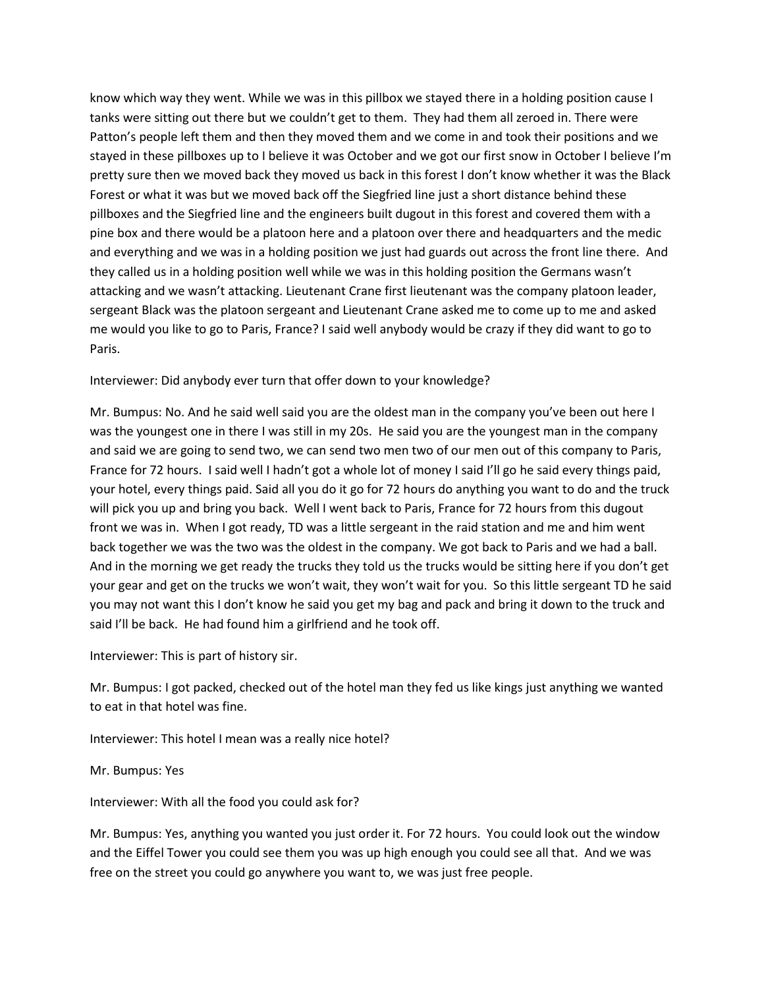know which way they went. While we was in this pillbox we stayed there in a holding position cause I tanks were sitting out there but we couldn't get to them. They had them all zeroed in. There were Patton's people left them and then they moved them and we come in and took their positions and we stayed in these pillboxes up to I believe it was October and we got our first snow in October I believe I'm pretty sure then we moved back they moved us back in this forest I don't know whether it was the Black Forest or what it was but we moved back off the Siegfried line just a short distance behind these pillboxes and the Siegfried line and the engineers built dugout in this forest and covered them with a pine box and there would be a platoon here and a platoon over there and headquarters and the medic and everything and we was in a holding position we just had guards out across the front line there. And they called us in a holding position well while we was in this holding position the Germans wasn't attacking and we wasn't attacking. Lieutenant Crane first lieutenant was the company platoon leader, sergeant Black was the platoon sergeant and Lieutenant Crane asked me to come up to me and asked me would you like to go to Paris, France? I said well anybody would be crazy if they did want to go to Paris.

Interviewer: Did anybody ever turn that offer down to your knowledge?

Mr. Bumpus: No. And he said well said you are the oldest man in the company you've been out here I was the youngest one in there I was still in my 20s. He said you are the youngest man in the company and said we are going to send two, we can send two men two of our men out of this company to Paris, France for 72 hours. I said well I hadn't got a whole lot of money I said I'll go he said every things paid, your hotel, every things paid. Said all you do it go for 72 hours do anything you want to do and the truck will pick you up and bring you back. Well I went back to Paris, France for 72 hours from this dugout front we was in. When I got ready, TD was a little sergeant in the raid station and me and him went back together we was the two was the oldest in the company. We got back to Paris and we had a ball. And in the morning we get ready the trucks they told us the trucks would be sitting here if you don't get your gear and get on the trucks we won't wait, they won't wait for you. So this little sergeant TD he said you may not want this I don't know he said you get my bag and pack and bring it down to the truck and said I'll be back. He had found him a girlfriend and he took off.

Interviewer: This is part of history sir.

Mr. Bumpus: I got packed, checked out of the hotel man they fed us like kings just anything we wanted to eat in that hotel was fine.

Interviewer: This hotel I mean was a really nice hotel?

Mr. Bumpus: Yes

Interviewer: With all the food you could ask for?

Mr. Bumpus: Yes, anything you wanted you just order it. For 72 hours. You could look out the window and the Eiffel Tower you could see them you was up high enough you could see all that. And we was free on the street you could go anywhere you want to, we was just free people.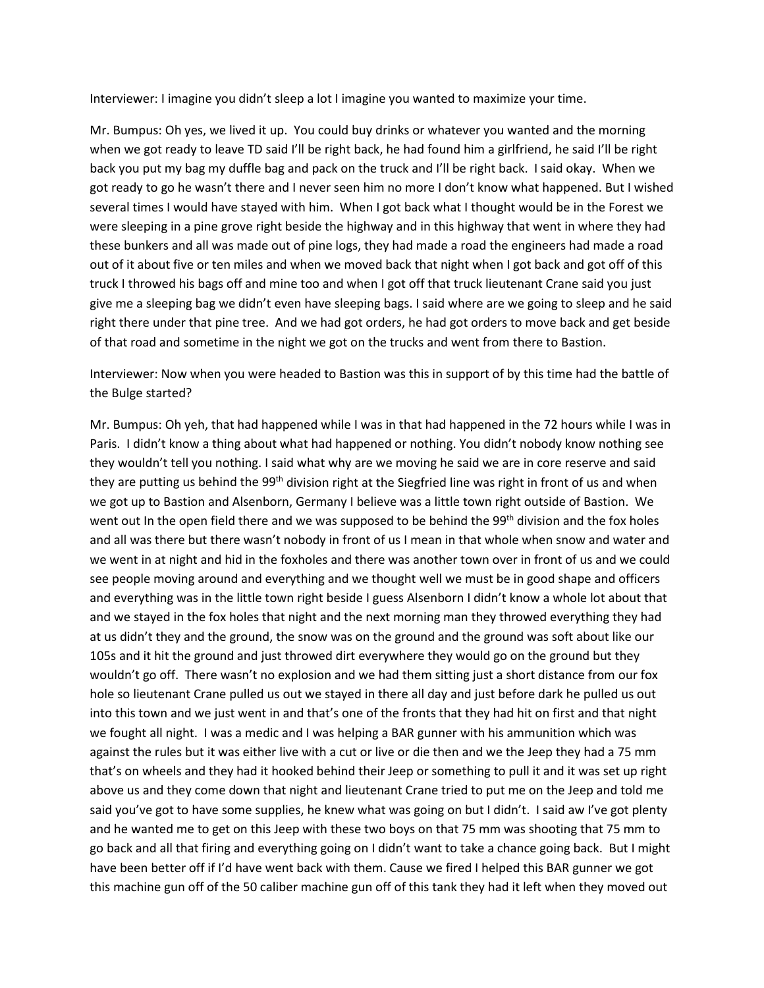Interviewer: I imagine you didn't sleep a lot I imagine you wanted to maximize your time.

Mr. Bumpus: Oh yes, we lived it up. You could buy drinks or whatever you wanted and the morning when we got ready to leave TD said I'll be right back, he had found him a girlfriend, he said I'll be right back you put my bag my duffle bag and pack on the truck and I'll be right back. I said okay. When we got ready to go he wasn't there and I never seen him no more I don't know what happened. But I wished several times I would have stayed with him. When I got back what I thought would be in the Forest we were sleeping in a pine grove right beside the highway and in this highway that went in where they had these bunkers and all was made out of pine logs, they had made a road the engineers had made a road out of it about five or ten miles and when we moved back that night when I got back and got off of this truck I throwed his bags off and mine too and when I got off that truck lieutenant Crane said you just give me a sleeping bag we didn't even have sleeping bags. I said where are we going to sleep and he said right there under that pine tree. And we had got orders, he had got orders to move back and get beside of that road and sometime in the night we got on the trucks and went from there to Bastion.

Interviewer: Now when you were headed to Bastion was this in support of by this time had the battle of the Bulge started?

Mr. Bumpus: Oh yeh, that had happened while I was in that had happened in the 72 hours while I was in Paris. I didn't know a thing about what had happened or nothing. You didn't nobody know nothing see they wouldn't tell you nothing. I said what why are we moving he said we are in core reserve and said they are putting us behind the 99<sup>th</sup> division right at the Siegfried line was right in front of us and when we got up to Bastion and Alsenborn, Germany I believe was a little town right outside of Bastion. We went out In the open field there and we was supposed to be behind the 99<sup>th</sup> division and the fox holes and all was there but there wasn't nobody in front of us I mean in that whole when snow and water and we went in at night and hid in the foxholes and there was another town over in front of us and we could see people moving around and everything and we thought well we must be in good shape and officers and everything was in the little town right beside I guess Alsenborn I didn't know a whole lot about that and we stayed in the fox holes that night and the next morning man they throwed everything they had at us didn't they and the ground, the snow was on the ground and the ground was soft about like our 105s and it hit the ground and just throwed dirt everywhere they would go on the ground but they wouldn't go off. There wasn't no explosion and we had them sitting just a short distance from our fox hole so lieutenant Crane pulled us out we stayed in there all day and just before dark he pulled us out into this town and we just went in and that's one of the fronts that they had hit on first and that night we fought all night. I was a medic and I was helping a BAR gunner with his ammunition which was against the rules but it was either live with a cut or live or die then and we the Jeep they had a 75 mm that's on wheels and they had it hooked behind their Jeep or something to pull it and it was set up right above us and they come down that night and lieutenant Crane tried to put me on the Jeep and told me said you've got to have some supplies, he knew what was going on but I didn't. I said aw I've got plenty and he wanted me to get on this Jeep with these two boys on that 75 mm was shooting that 75 mm to go back and all that firing and everything going on I didn't want to take a chance going back. But I might have been better off if I'd have went back with them. Cause we fired I helped this BAR gunner we got this machine gun off of the 50 caliber machine gun off of this tank they had it left when they moved out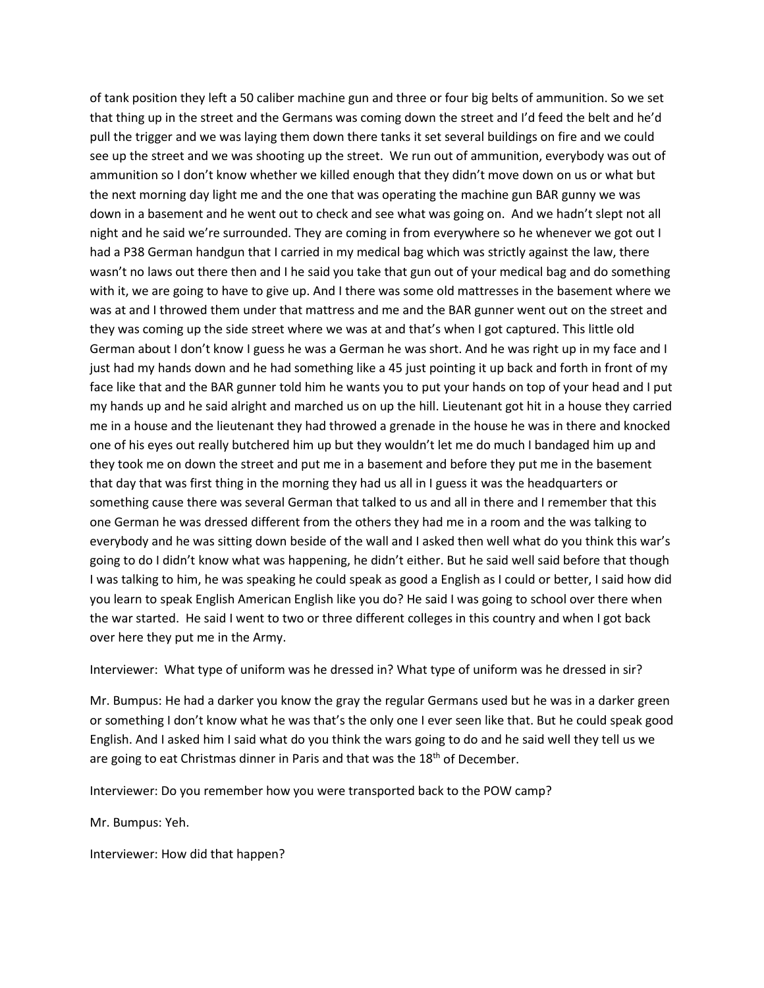of tank position they left a 50 caliber machine gun and three or four big belts of ammunition. So we set that thing up in the street and the Germans was coming down the street and I'd feed the belt and he'd pull the trigger and we was laying them down there tanks it set several buildings on fire and we could see up the street and we was shooting up the street. We run out of ammunition, everybody was out of ammunition so I don't know whether we killed enough that they didn't move down on us or what but the next morning day light me and the one that was operating the machine gun BAR gunny we was down in a basement and he went out to check and see what was going on. And we hadn't slept not all night and he said we're surrounded. They are coming in from everywhere so he whenever we got out I had a P38 German handgun that I carried in my medical bag which was strictly against the law, there wasn't no laws out there then and I he said you take that gun out of your medical bag and do something with it, we are going to have to give up. And I there was some old mattresses in the basement where we was at and I throwed them under that mattress and me and the BAR gunner went out on the street and they was coming up the side street where we was at and that's when I got captured. This little old German about I don't know I guess he was a German he was short. And he was right up in my face and I just had my hands down and he had something like a 45 just pointing it up back and forth in front of my face like that and the BAR gunner told him he wants you to put your hands on top of your head and I put my hands up and he said alright and marched us on up the hill. Lieutenant got hit in a house they carried me in a house and the lieutenant they had throwed a grenade in the house he was in there and knocked one of his eyes out really butchered him up but they wouldn't let me do much I bandaged him up and they took me on down the street and put me in a basement and before they put me in the basement that day that was first thing in the morning they had us all in I guess it was the headquarters or something cause there was several German that talked to us and all in there and I remember that this one German he was dressed different from the others they had me in a room and the was talking to everybody and he was sitting down beside of the wall and I asked then well what do you think this war's going to do I didn't know what was happening, he didn't either. But he said well said before that though I was talking to him, he was speaking he could speak as good a English as I could or better, I said how did you learn to speak English American English like you do? He said I was going to school over there when the war started. He said I went to two or three different colleges in this country and when I got back over here they put me in the Army.

Interviewer: What type of uniform was he dressed in? What type of uniform was he dressed in sir?

Mr. Bumpus: He had a darker you know the gray the regular Germans used but he was in a darker green or something I don't know what he was that's the only one I ever seen like that. But he could speak good English. And I asked him I said what do you think the wars going to do and he said well they tell us we are going to eat Christmas dinner in Paris and that was the 18<sup>th</sup> of December.

Interviewer: Do you remember how you were transported back to the POW camp?

Mr. Bumpus: Yeh.

Interviewer: How did that happen?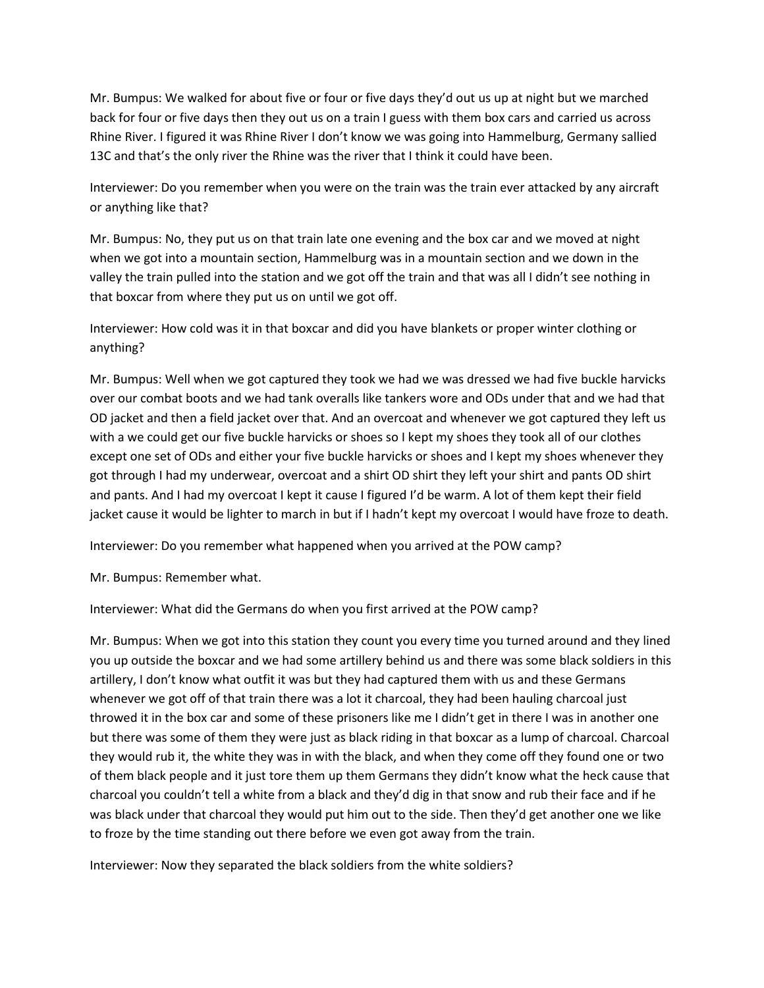Mr. Bumpus: We walked for about five or four or five days they'd out us up at night but we marched back for four or five days then they out us on a train I guess with them box cars and carried us across Rhine River. I figured it was Rhine River I don't know we was going into Hammelburg, Germany sallied 13C and that's the only river the Rhine was the river that I think it could have been.

Interviewer: Do you remember when you were on the train was the train ever attacked by any aircraft or anything like that?

Mr. Bumpus: No, they put us on that train late one evening and the box car and we moved at night when we got into a mountain section, Hammelburg was in a mountain section and we down in the valley the train pulled into the station and we got off the train and that was all I didn't see nothing in that boxcar from where they put us on until we got off.

Interviewer: How cold was it in that boxcar and did you have blankets or proper winter clothing or anything?

Mr. Bumpus: Well when we got captured they took we had we was dressed we had five buckle harvicks over our combat boots and we had tank overalls like tankers wore and ODs under that and we had that OD jacket and then a field jacket over that. And an overcoat and whenever we got captured they left us with a we could get our five buckle harvicks or shoes so I kept my shoes they took all of our clothes except one set of ODs and either your five buckle harvicks or shoes and I kept my shoes whenever they got through I had my underwear, overcoat and a shirt OD shirt they left your shirt and pants OD shirt and pants. And I had my overcoat I kept it cause I figured I'd be warm. A lot of them kept their field jacket cause it would be lighter to march in but if I hadn't kept my overcoat I would have froze to death.

Interviewer: Do you remember what happened when you arrived at the POW camp?

Mr. Bumpus: Remember what.

Interviewer: What did the Germans do when you first arrived at the POW camp?

Mr. Bumpus: When we got into this station they count you every time you turned around and they lined you up outside the boxcar and we had some artillery behind us and there was some black soldiers in this artillery, I don't know what outfit it was but they had captured them with us and these Germans whenever we got off of that train there was a lot it charcoal, they had been hauling charcoal just throwed it in the box car and some of these prisoners like me I didn't get in there I was in another one but there was some of them they were just as black riding in that boxcar as a lump of charcoal. Charcoal they would rub it, the white they was in with the black, and when they come off they found one or two of them black people and it just tore them up them Germans they didn't know what the heck cause that charcoal you couldn't tell a white from a black and they'd dig in that snow and rub their face and if he was black under that charcoal they would put him out to the side. Then they'd get another one we like to froze by the time standing out there before we even got away from the train.

Interviewer: Now they separated the black soldiers from the white soldiers?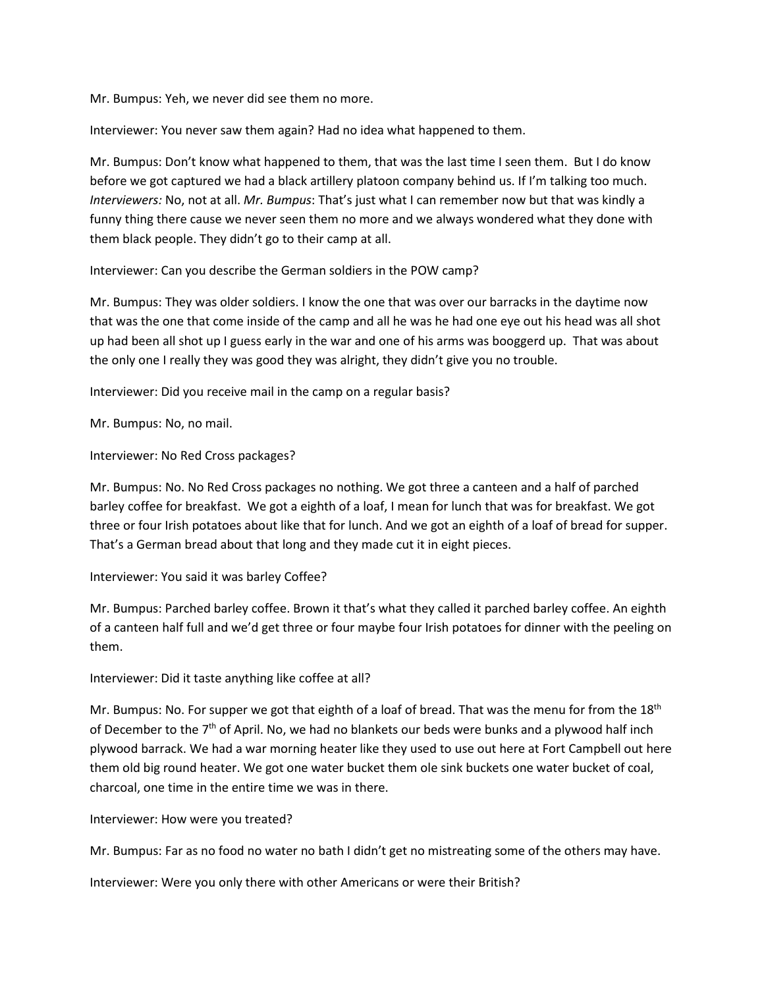Mr. Bumpus: Yeh, we never did see them no more.

Interviewer: You never saw them again? Had no idea what happened to them.

Mr. Bumpus: Don't know what happened to them, that was the last time I seen them. But I do know before we got captured we had a black artillery platoon company behind us. If I'm talking too much. *Interviewers:* No, not at all. *Mr. Bumpus*: That's just what I can remember now but that was kindly a funny thing there cause we never seen them no more and we always wondered what they done with them black people. They didn't go to their camp at all.

Interviewer: Can you describe the German soldiers in the POW camp?

Mr. Bumpus: They was older soldiers. I know the one that was over our barracks in the daytime now that was the one that come inside of the camp and all he was he had one eye out his head was all shot up had been all shot up I guess early in the war and one of his arms was booggerd up. That was about the only one I really they was good they was alright, they didn't give you no trouble.

Interviewer: Did you receive mail in the camp on a regular basis?

Mr. Bumpus: No, no mail.

Interviewer: No Red Cross packages?

Mr. Bumpus: No. No Red Cross packages no nothing. We got three a canteen and a half of parched barley coffee for breakfast. We got a eighth of a loaf, I mean for lunch that was for breakfast. We got three or four Irish potatoes about like that for lunch. And we got an eighth of a loaf of bread for supper. That's a German bread about that long and they made cut it in eight pieces.

Interviewer: You said it was barley Coffee?

Mr. Bumpus: Parched barley coffee. Brown it that's what they called it parched barley coffee. An eighth of a canteen half full and we'd get three or four maybe four Irish potatoes for dinner with the peeling on them.

Interviewer: Did it taste anything like coffee at all?

Mr. Bumpus: No. For supper we got that eighth of a loaf of bread. That was the menu for from the  $18<sup>th</sup>$ of December to the  $7<sup>th</sup>$  of April. No, we had no blankets our beds were bunks and a plywood half inch plywood barrack. We had a war morning heater like they used to use out here at Fort Campbell out here them old big round heater. We got one water bucket them ole sink buckets one water bucket of coal, charcoal, one time in the entire time we was in there.

Interviewer: How were you treated?

Mr. Bumpus: Far as no food no water no bath I didn't get no mistreating some of the others may have.

Interviewer: Were you only there with other Americans or were their British?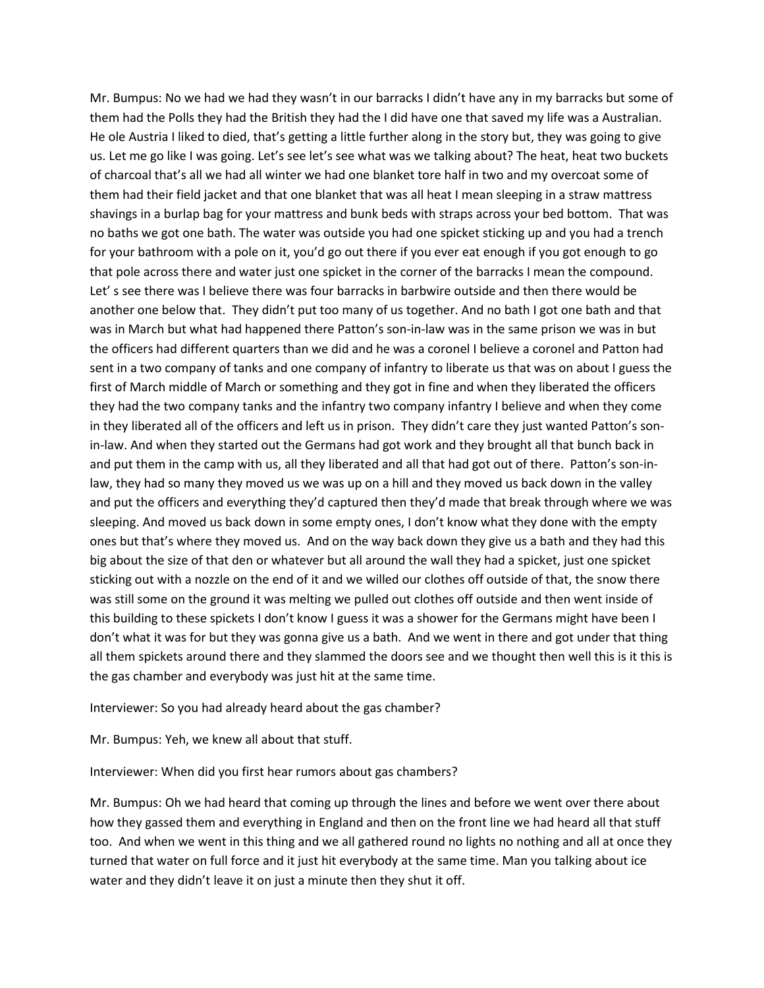Mr. Bumpus: No we had we had they wasn't in our barracks I didn't have any in my barracks but some of them had the Polls they had the British they had the I did have one that saved my life was a Australian. He ole Austria I liked to died, that's getting a little further along in the story but, they was going to give us. Let me go like I was going. Let's see let's see what was we talking about? The heat, heat two buckets of charcoal that's all we had all winter we had one blanket tore half in two and my overcoat some of them had their field jacket and that one blanket that was all heat I mean sleeping in a straw mattress shavings in a burlap bag for your mattress and bunk beds with straps across your bed bottom. That was no baths we got one bath. The water was outside you had one spicket sticking up and you had a trench for your bathroom with a pole on it, you'd go out there if you ever eat enough if you got enough to go that pole across there and water just one spicket in the corner of the barracks I mean the compound. Let' s see there was I believe there was four barracks in barbwire outside and then there would be another one below that. They didn't put too many of us together. And no bath I got one bath and that was in March but what had happened there Patton's son-in-law was in the same prison we was in but the officers had different quarters than we did and he was a coronel I believe a coronel and Patton had sent in a two company of tanks and one company of infantry to liberate us that was on about I guess the first of March middle of March or something and they got in fine and when they liberated the officers they had the two company tanks and the infantry two company infantry I believe and when they come in they liberated all of the officers and left us in prison. They didn't care they just wanted Patton's sonin-law. And when they started out the Germans had got work and they brought all that bunch back in and put them in the camp with us, all they liberated and all that had got out of there. Patton's son-inlaw, they had so many they moved us we was up on a hill and they moved us back down in the valley and put the officers and everything they'd captured then they'd made that break through where we was sleeping. And moved us back down in some empty ones, I don't know what they done with the empty ones but that's where they moved us. And on the way back down they give us a bath and they had this big about the size of that den or whatever but all around the wall they had a spicket, just one spicket sticking out with a nozzle on the end of it and we willed our clothes off outside of that, the snow there was still some on the ground it was melting we pulled out clothes off outside and then went inside of this building to these spickets I don't know I guess it was a shower for the Germans might have been I don't what it was for but they was gonna give us a bath. And we went in there and got under that thing all them spickets around there and they slammed the doors see and we thought then well this is it this is the gas chamber and everybody was just hit at the same time.

Interviewer: So you had already heard about the gas chamber?

Mr. Bumpus: Yeh, we knew all about that stuff.

Interviewer: When did you first hear rumors about gas chambers?

Mr. Bumpus: Oh we had heard that coming up through the lines and before we went over there about how they gassed them and everything in England and then on the front line we had heard all that stuff too. And when we went in this thing and we all gathered round no lights no nothing and all at once they turned that water on full force and it just hit everybody at the same time. Man you talking about ice water and they didn't leave it on just a minute then they shut it off.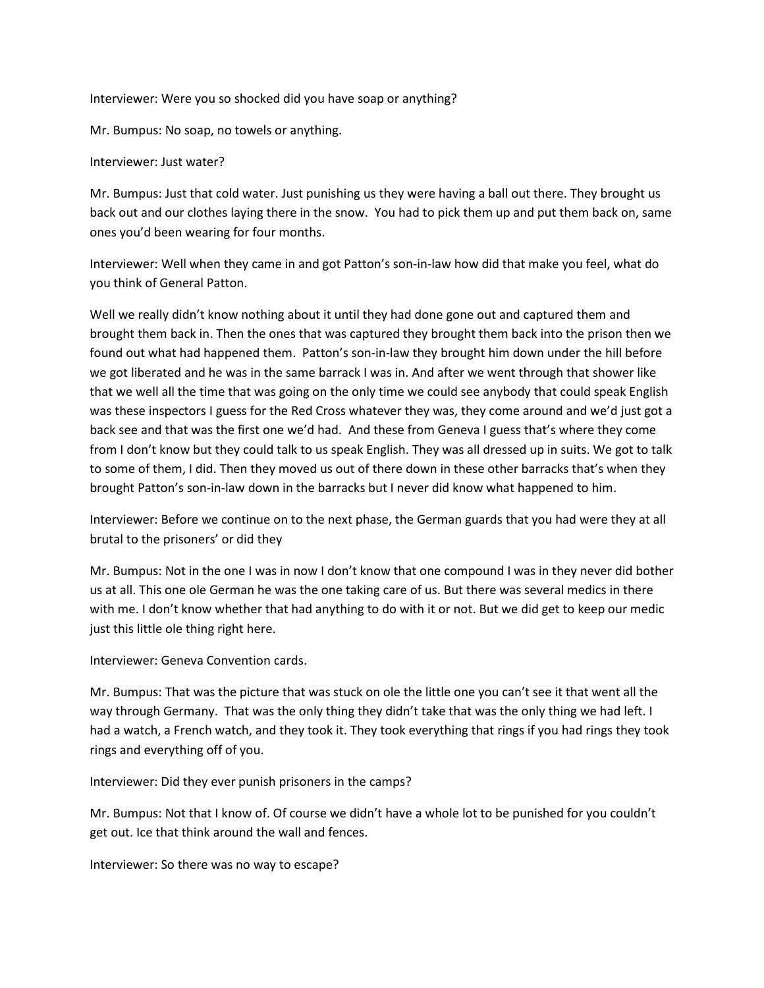Interviewer: Were you so shocked did you have soap or anything?

Mr. Bumpus: No soap, no towels or anything.

Interviewer: Just water?

Mr. Bumpus: Just that cold water. Just punishing us they were having a ball out there. They brought us back out and our clothes laying there in the snow. You had to pick them up and put them back on, same ones you'd been wearing for four months.

Interviewer: Well when they came in and got Patton's son-in-law how did that make you feel, what do you think of General Patton.

Well we really didn't know nothing about it until they had done gone out and captured them and brought them back in. Then the ones that was captured they brought them back into the prison then we found out what had happened them. Patton's son-in-law they brought him down under the hill before we got liberated and he was in the same barrack I was in. And after we went through that shower like that we well all the time that was going on the only time we could see anybody that could speak English was these inspectors I guess for the Red Cross whatever they was, they come around and we'd just got a back see and that was the first one we'd had. And these from Geneva I guess that's where they come from I don't know but they could talk to us speak English. They was all dressed up in suits. We got to talk to some of them, I did. Then they moved us out of there down in these other barracks that's when they brought Patton's son-in-law down in the barracks but I never did know what happened to him.

Interviewer: Before we continue on to the next phase, the German guards that you had were they at all brutal to the prisoners' or did they

Mr. Bumpus: Not in the one I was in now I don't know that one compound I was in they never did bother us at all. This one ole German he was the one taking care of us. But there was several medics in there with me. I don't know whether that had anything to do with it or not. But we did get to keep our medic just this little ole thing right here.

Interviewer: Geneva Convention cards.

Mr. Bumpus: That was the picture that was stuck on ole the little one you can't see it that went all the way through Germany. That was the only thing they didn't take that was the only thing we had left. I had a watch, a French watch, and they took it. They took everything that rings if you had rings they took rings and everything off of you.

Interviewer: Did they ever punish prisoners in the camps?

Mr. Bumpus: Not that I know of. Of course we didn't have a whole lot to be punished for you couldn't get out. Ice that think around the wall and fences.

Interviewer: So there was no way to escape?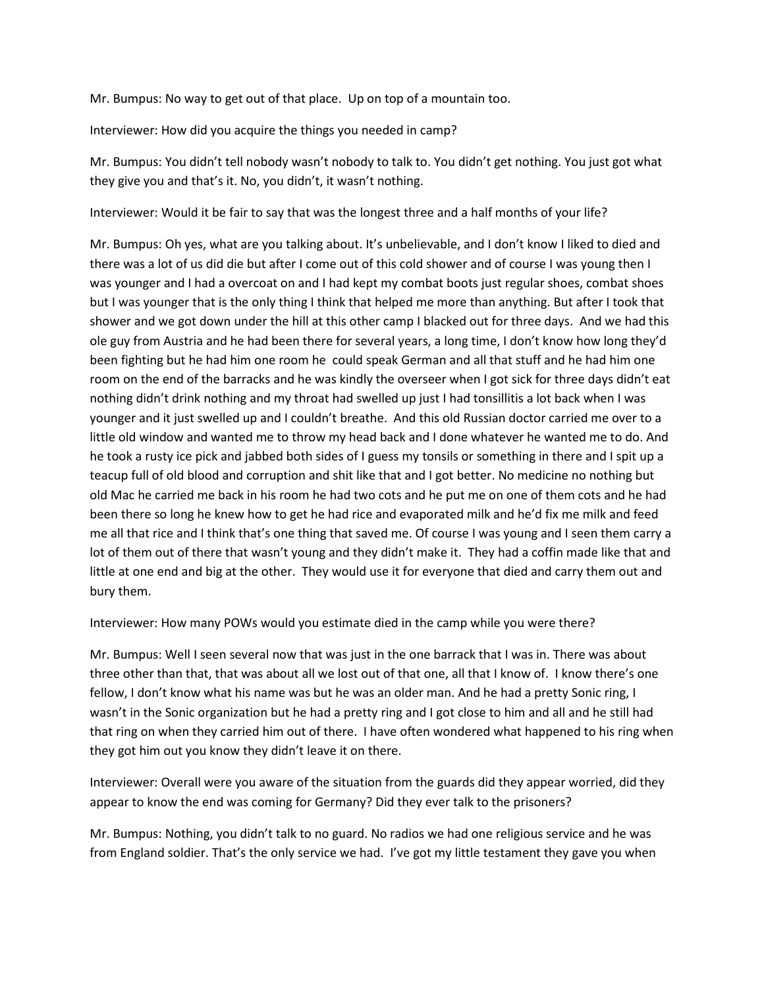Mr. Bumpus: No way to get out of that place. Up on top of a mountain too.

Interviewer: How did you acquire the things you needed in camp?

Mr. Bumpus: You didn't tell nobody wasn't nobody to talk to. You didn't get nothing. You just got what they give you and that's it. No, you didn't, it wasn't nothing.

Interviewer: Would it be fair to say that was the longest three and a half months of your life?

Mr. Bumpus: Oh yes, what are you talking about. It's unbelievable, and I don't know I liked to died and there was a lot of us did die but after I come out of this cold shower and of course I was young then I was younger and I had a overcoat on and I had kept my combat boots just regular shoes, combat shoes but I was younger that is the only thing I think that helped me more than anything. But after I took that shower and we got down under the hill at this other camp I blacked out for three days. And we had this ole guy from Austria and he had been there for several years, a long time, I don't know how long they'd been fighting but he had him one room he could speak German and all that stuff and he had him one room on the end of the barracks and he was kindly the overseer when I got sick for three days didn't eat nothing didn't drink nothing and my throat had swelled up just I had tonsillitis a lot back when I was younger and it just swelled up and I couldn't breathe. And this old Russian doctor carried me over to a little old window and wanted me to throw my head back and I done whatever he wanted me to do. And he took a rusty ice pick and jabbed both sides of I guess my tonsils or something in there and I spit up a teacup full of old blood and corruption and shit like that and I got better. No medicine no nothing but old Mac he carried me back in his room he had two cots and he put me on one of them cots and he had been there so long he knew how to get he had rice and evaporated milk and he'd fix me milk and feed me all that rice and I think that's one thing that saved me. Of course I was young and I seen them carry a lot of them out of there that wasn't young and they didn't make it. They had a coffin made like that and little at one end and big at the other. They would use it for everyone that died and carry them out and bury them.

Interviewer: How many POWs would you estimate died in the camp while you were there?

Mr. Bumpus: Well I seen several now that was just in the one barrack that I was in. There was about three other than that, that was about all we lost out of that one, all that I know of. I know there's one fellow, I don't know what his name was but he was an older man. And he had a pretty Sonic ring, I wasn't in the Sonic organization but he had a pretty ring and I got close to him and all and he still had that ring on when they carried him out of there. I have often wondered what happened to his ring when they got him out you know they didn't leave it on there.

Interviewer: Overall were you aware of the situation from the guards did they appear worried, did they appear to know the end was coming for Germany? Did they ever talk to the prisoners?

Mr. Bumpus: Nothing, you didn't talk to no guard. No radios we had one religious service and he was from England soldier. That's the only service we had. I've got my little testament they gave you when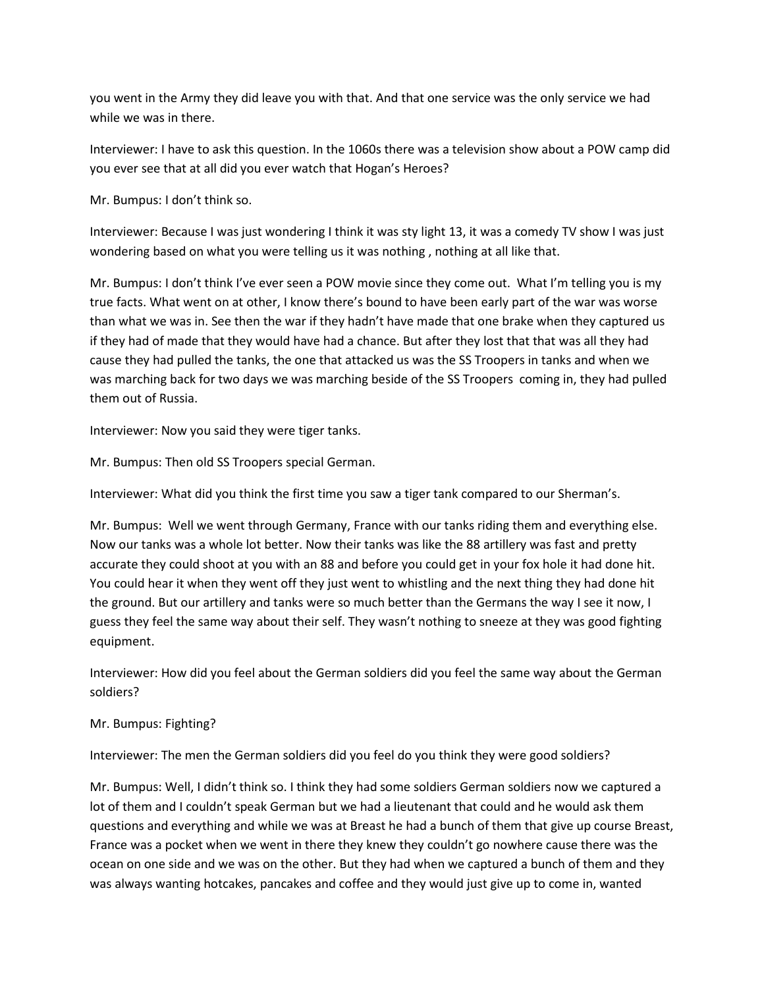you went in the Army they did leave you with that. And that one service was the only service we had while we was in there.

Interviewer: I have to ask this question. In the 1060s there was a television show about a POW camp did you ever see that at all did you ever watch that Hogan's Heroes?

Mr. Bumpus: I don't think so.

Interviewer: Because I was just wondering I think it was sty light 13, it was a comedy TV show I was just wondering based on what you were telling us it was nothing , nothing at all like that.

Mr. Bumpus: I don't think I've ever seen a POW movie since they come out. What I'm telling you is my true facts. What went on at other, I know there's bound to have been early part of the war was worse than what we was in. See then the war if they hadn't have made that one brake when they captured us if they had of made that they would have had a chance. But after they lost that that was all they had cause they had pulled the tanks, the one that attacked us was the SS Troopers in tanks and when we was marching back for two days we was marching beside of the SS Troopers coming in, they had pulled them out of Russia.

Interviewer: Now you said they were tiger tanks.

Mr. Bumpus: Then old SS Troopers special German.

Interviewer: What did you think the first time you saw a tiger tank compared to our Sherman's.

Mr. Bumpus: Well we went through Germany, France with our tanks riding them and everything else. Now our tanks was a whole lot better. Now their tanks was like the 88 artillery was fast and pretty accurate they could shoot at you with an 88 and before you could get in your fox hole it had done hit. You could hear it when they went off they just went to whistling and the next thing they had done hit the ground. But our artillery and tanks were so much better than the Germans the way I see it now, I guess they feel the same way about their self. They wasn't nothing to sneeze at they was good fighting equipment.

Interviewer: How did you feel about the German soldiers did you feel the same way about the German soldiers?

Mr. Bumpus: Fighting?

Interviewer: The men the German soldiers did you feel do you think they were good soldiers?

Mr. Bumpus: Well, I didn't think so. I think they had some soldiers German soldiers now we captured a lot of them and I couldn't speak German but we had a lieutenant that could and he would ask them questions and everything and while we was at Breast he had a bunch of them that give up course Breast, France was a pocket when we went in there they knew they couldn't go nowhere cause there was the ocean on one side and we was on the other. But they had when we captured a bunch of them and they was always wanting hotcakes, pancakes and coffee and they would just give up to come in, wanted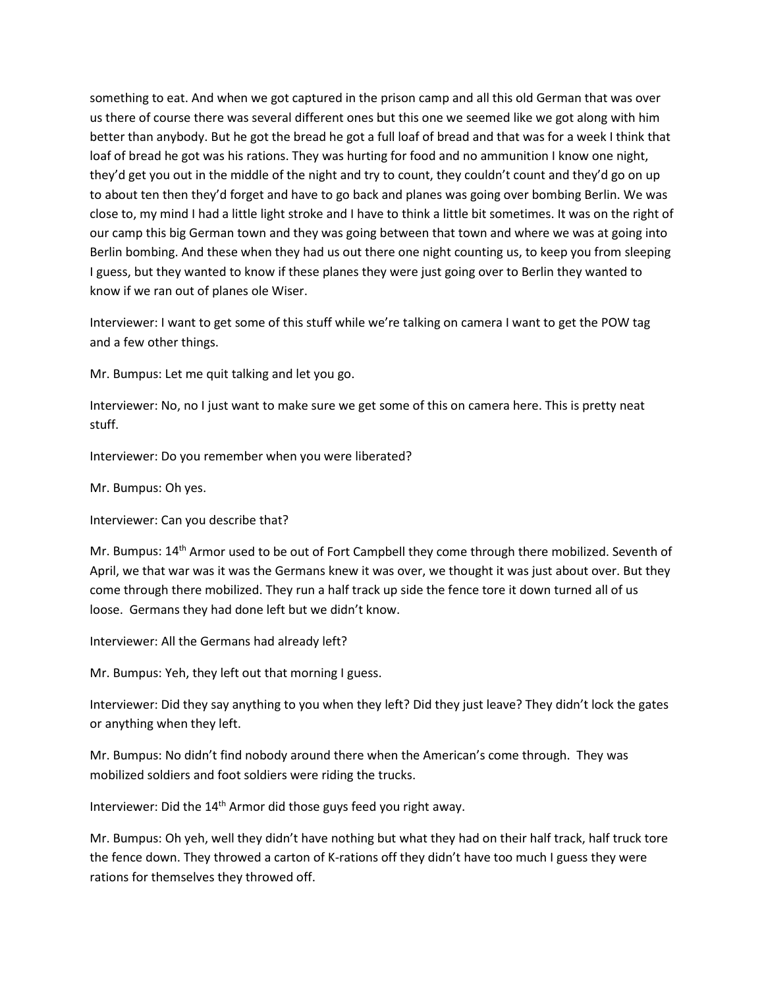something to eat. And when we got captured in the prison camp and all this old German that was over us there of course there was several different ones but this one we seemed like we got along with him better than anybody. But he got the bread he got a full loaf of bread and that was for a week I think that loaf of bread he got was his rations. They was hurting for food and no ammunition I know one night, they'd get you out in the middle of the night and try to count, they couldn't count and they'd go on up to about ten then they'd forget and have to go back and planes was going over bombing Berlin. We was close to, my mind I had a little light stroke and I have to think a little bit sometimes. It was on the right of our camp this big German town and they was going between that town and where we was at going into Berlin bombing. And these when they had us out there one night counting us, to keep you from sleeping I guess, but they wanted to know if these planes they were just going over to Berlin they wanted to know if we ran out of planes ole Wiser.

Interviewer: I want to get some of this stuff while we're talking on camera I want to get the POW tag and a few other things.

Mr. Bumpus: Let me quit talking and let you go.

Interviewer: No, no I just want to make sure we get some of this on camera here. This is pretty neat stuff.

Interviewer: Do you remember when you were liberated?

Mr. Bumpus: Oh yes.

Interviewer: Can you describe that?

Mr. Bumpus: 14<sup>th</sup> Armor used to be out of Fort Campbell they come through there mobilized. Seventh of April, we that war was it was the Germans knew it was over, we thought it was just about over. But they come through there mobilized. They run a half track up side the fence tore it down turned all of us loose. Germans they had done left but we didn't know.

Interviewer: All the Germans had already left?

Mr. Bumpus: Yeh, they left out that morning I guess.

Interviewer: Did they say anything to you when they left? Did they just leave? They didn't lock the gates or anything when they left.

Mr. Bumpus: No didn't find nobody around there when the American's come through. They was mobilized soldiers and foot soldiers were riding the trucks.

Interviewer: Did the  $14<sup>th</sup>$  Armor did those guys feed you right away.

Mr. Bumpus: Oh yeh, well they didn't have nothing but what they had on their half track, half truck tore the fence down. They throwed a carton of K-rations off they didn't have too much I guess they were rations for themselves they throwed off.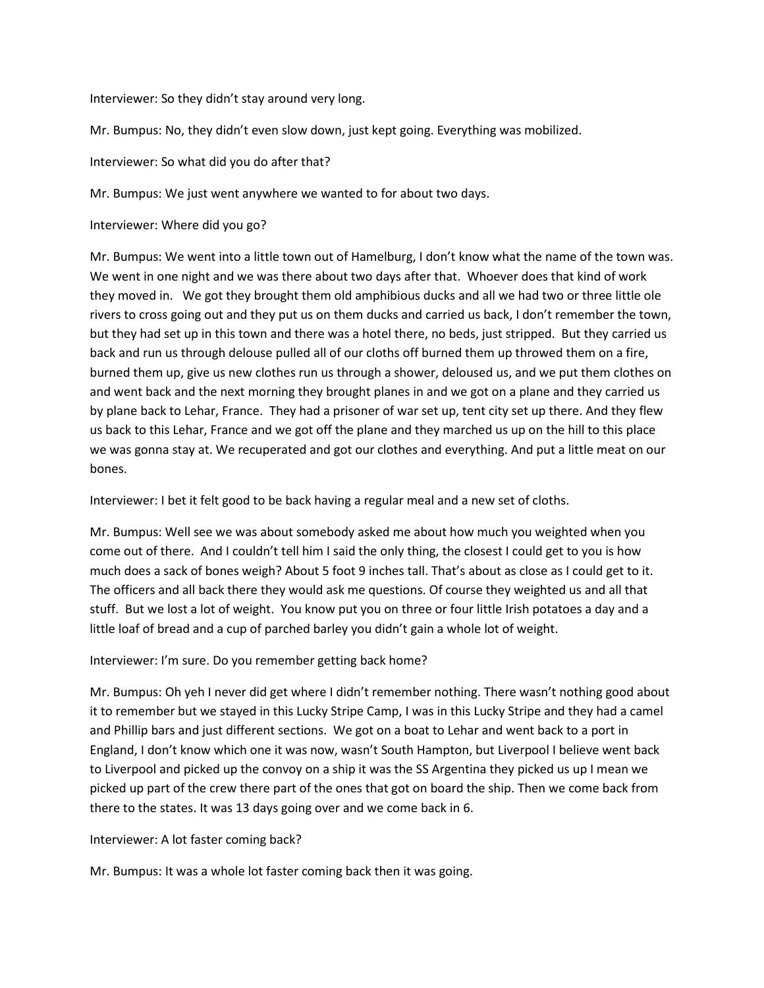Interviewer: So they didn't stay around very long.

Mr. Bumpus: No, they didn't even slow down, just kept going. Everything was mobilized.

Interviewer: So what did you do after that?

Mr. Bumpus: We just went anywhere we wanted to for about two days.

Interviewer: Where did you go?

Mr. Bumpus: We went into a little town out of Hamelburg, I don't know what the name of the town was. We went in one night and we was there about two days after that. Whoever does that kind of work they moved in. We got they brought them old amphibious ducks and all we had two or three little ole rivers to cross going out and they put us on them ducks and carried us back, I don't remember the town, but they had set up in this town and there was a hotel there, no beds, just stripped. But they carried us back and run us through delouse pulled all of our cloths off burned them up throwed them on a fire, burned them up, give us new clothes run us through a shower, deloused us, and we put them clothes on and went back and the next morning they brought planes in and we got on a plane and they carried us by plane back to Lehar, France. They had a prisoner of war set up, tent city set up there. And they flew us back to this Lehar, France and we got off the plane and they marched us up on the hill to this place we was gonna stay at. We recuperated and got our clothes and everything. And put a little meat on our bones.

Interviewer: I bet it felt good to be back having a regular meal and a new set of cloths.

Mr. Bumpus: Well see we was about somebody asked me about how much you weighted when you come out of there. And I couldn't tell him I said the only thing, the closest I could get to you is how much does a sack of bones weigh? About 5 foot 9 inches tall. That's about as close as I could get to it. The officers and all back there they would ask me questions. Of course they weighted us and all that stuff. But we lost a lot of weight. You know put you on three or four little Irish potatoes a day and a little loaf of bread and a cup of parched barley you didn't gain a whole lot of weight.

Interviewer: I'm sure. Do you remember getting back home?

Mr. Bumpus: Oh yeh I never did get where I didn't remember nothing. There wasn't nothing good about it to remember but we stayed in this Lucky Stripe Camp, I was in this Lucky Stripe and they had a camel and Phillip bars and just different sections. We got on a boat to Lehar and went back to a port in England, I don't know which one it was now, wasn't South Hampton, but Liverpool I believe went back to Liverpool and picked up the convoy on a ship it was the SS Argentina they picked us up I mean we picked up part of the crew there part of the ones that got on board the ship. Then we come back from there to the states. It was 13 days going over and we come back in 6.

Interviewer: A lot faster coming back?

Mr. Bumpus: It was a whole lot faster coming back then it was going.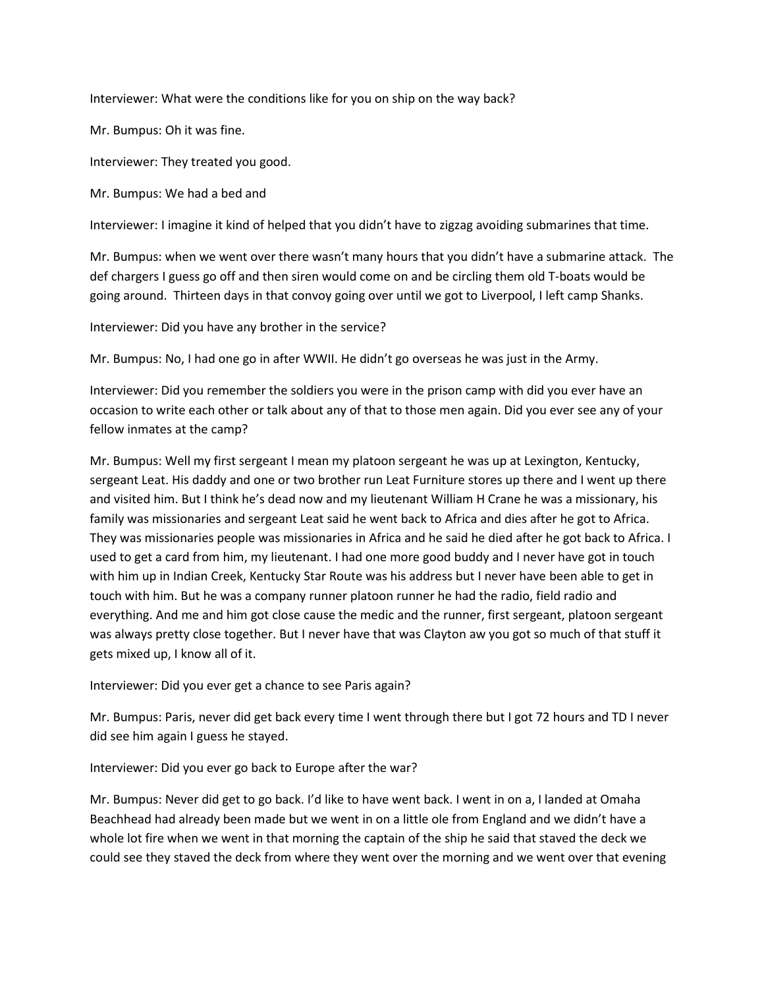Interviewer: What were the conditions like for you on ship on the way back?

Mr. Bumpus: Oh it was fine.

Interviewer: They treated you good.

Mr. Bumpus: We had a bed and

Interviewer: I imagine it kind of helped that you didn't have to zigzag avoiding submarines that time.

Mr. Bumpus: when we went over there wasn't many hours that you didn't have a submarine attack. The def chargers I guess go off and then siren would come on and be circling them old T-boats would be going around. Thirteen days in that convoy going over until we got to Liverpool, I left camp Shanks.

Interviewer: Did you have any brother in the service?

Mr. Bumpus: No, I had one go in after WWII. He didn't go overseas he was just in the Army.

Interviewer: Did you remember the soldiers you were in the prison camp with did you ever have an occasion to write each other or talk about any of that to those men again. Did you ever see any of your fellow inmates at the camp?

Mr. Bumpus: Well my first sergeant I mean my platoon sergeant he was up at Lexington, Kentucky, sergeant Leat. His daddy and one or two brother run Leat Furniture stores up there and I went up there and visited him. But I think he's dead now and my lieutenant William H Crane he was a missionary, his family was missionaries and sergeant Leat said he went back to Africa and dies after he got to Africa. They was missionaries people was missionaries in Africa and he said he died after he got back to Africa. I used to get a card from him, my lieutenant. I had one more good buddy and I never have got in touch with him up in Indian Creek, Kentucky Star Route was his address but I never have been able to get in touch with him. But he was a company runner platoon runner he had the radio, field radio and everything. And me and him got close cause the medic and the runner, first sergeant, platoon sergeant was always pretty close together. But I never have that was Clayton aw you got so much of that stuff it gets mixed up, I know all of it.

Interviewer: Did you ever get a chance to see Paris again?

Mr. Bumpus: Paris, never did get back every time I went through there but I got 72 hours and TD I never did see him again I guess he stayed.

Interviewer: Did you ever go back to Europe after the war?

Mr. Bumpus: Never did get to go back. I'd like to have went back. I went in on a, I landed at Omaha Beachhead had already been made but we went in on a little ole from England and we didn't have a whole lot fire when we went in that morning the captain of the ship he said that staved the deck we could see they staved the deck from where they went over the morning and we went over that evening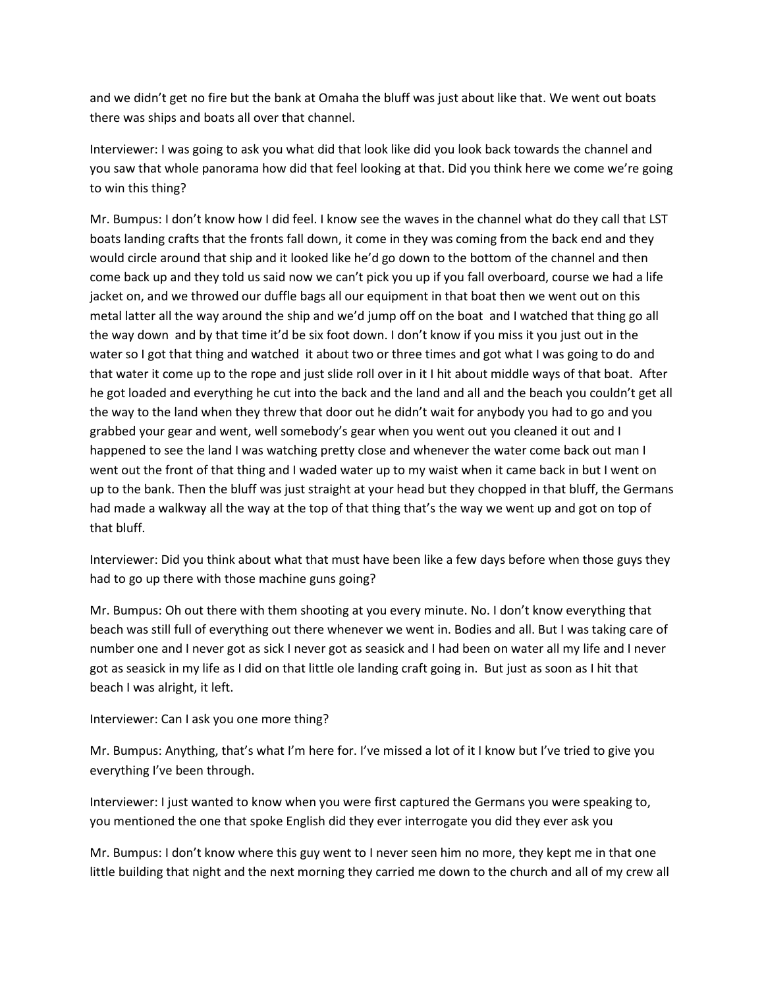and we didn't get no fire but the bank at Omaha the bluff was just about like that. We went out boats there was ships and boats all over that channel.

Interviewer: I was going to ask you what did that look like did you look back towards the channel and you saw that whole panorama how did that feel looking at that. Did you think here we come we're going to win this thing?

Mr. Bumpus: I don't know how I did feel. I know see the waves in the channel what do they call that LST boats landing crafts that the fronts fall down, it come in they was coming from the back end and they would circle around that ship and it looked like he'd go down to the bottom of the channel and then come back up and they told us said now we can't pick you up if you fall overboard, course we had a life jacket on, and we throwed our duffle bags all our equipment in that boat then we went out on this metal latter all the way around the ship and we'd jump off on the boat and I watched that thing go all the way down and by that time it'd be six foot down. I don't know if you miss it you just out in the water so I got that thing and watched it about two or three times and got what I was going to do and that water it come up to the rope and just slide roll over in it I hit about middle ways of that boat. After he got loaded and everything he cut into the back and the land and all and the beach you couldn't get all the way to the land when they threw that door out he didn't wait for anybody you had to go and you grabbed your gear and went, well somebody's gear when you went out you cleaned it out and I happened to see the land I was watching pretty close and whenever the water come back out man I went out the front of that thing and I waded water up to my waist when it came back in but I went on up to the bank. Then the bluff was just straight at your head but they chopped in that bluff, the Germans had made a walkway all the way at the top of that thing that's the way we went up and got on top of that bluff.

Interviewer: Did you think about what that must have been like a few days before when those guys they had to go up there with those machine guns going?

Mr. Bumpus: Oh out there with them shooting at you every minute. No. I don't know everything that beach was still full of everything out there whenever we went in. Bodies and all. But I was taking care of number one and I never got as sick I never got as seasick and I had been on water all my life and I never got as seasick in my life as I did on that little ole landing craft going in. But just as soon as I hit that beach I was alright, it left.

Interviewer: Can I ask you one more thing?

Mr. Bumpus: Anything, that's what I'm here for. I've missed a lot of it I know but I've tried to give you everything I've been through.

Interviewer: I just wanted to know when you were first captured the Germans you were speaking to, you mentioned the one that spoke English did they ever interrogate you did they ever ask you

Mr. Bumpus: I don't know where this guy went to I never seen him no more, they kept me in that one little building that night and the next morning they carried me down to the church and all of my crew all